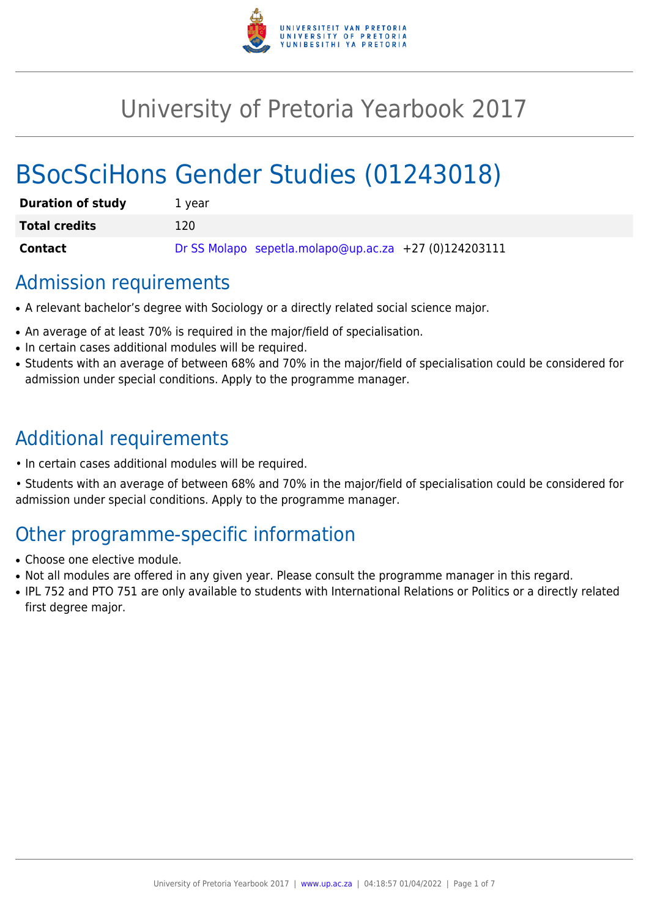

# University of Pretoria Yearbook 2017

# BSocSciHons Gender Studies (01243018)

| <b>Duration of study</b> | 1 vear                                                |
|--------------------------|-------------------------------------------------------|
| <b>Total credits</b>     | 120.                                                  |
| <b>Contact</b>           | Dr SS Molapo sepetla.molapo@up.ac.za +27 (0)124203111 |

# Admission requirements

- A relevant bachelor's degree with Sociology or a directly related social science major.
- An average of at least 70% is required in the major/field of specialisation.
- In certain cases additional modules will be required.
- Students with an average of between 68% and 70% in the major/field of specialisation could be considered for admission under special conditions. Apply to the programme manager.

# Additional requirements

- In certain cases additional modules will be required.
- Students with an average of between 68% and 70% in the major/field of specialisation could be considered for admission under special conditions. Apply to the programme manager.

# Other programme-specific information

- Choose one elective module.
- Not all modules are offered in any given year. Please consult the programme manager in this regard.
- IPL 752 and PTO 751 are only available to students with International Relations or Politics or a directly related first degree major.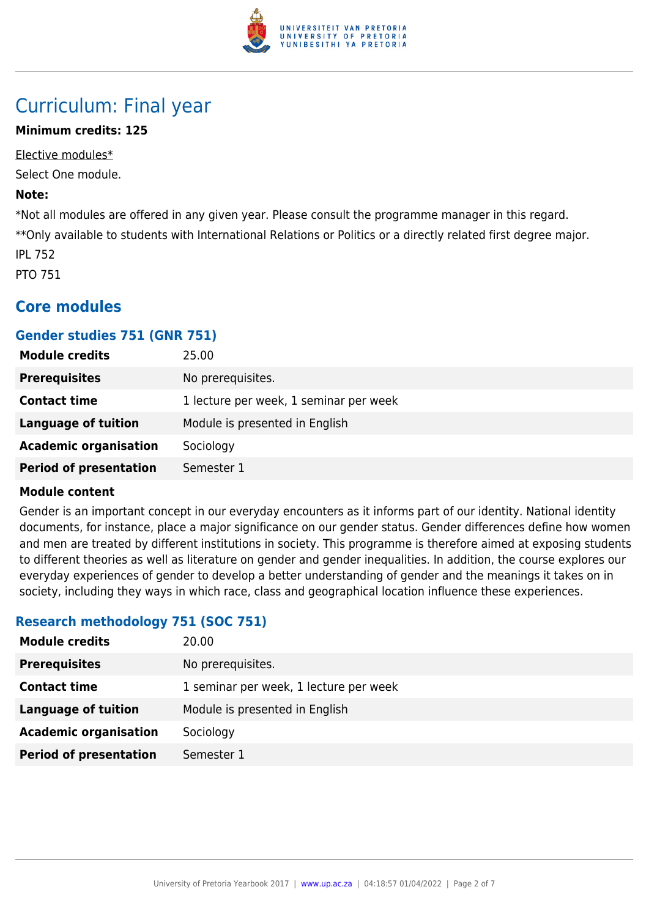

# Curriculum: Final year

# **Minimum credits: 125**

Elective modules\* Select One module.

#### **Note:**

\*Not all modules are offered in any given year. Please consult the programme manager in this regard. \*\*Only available to students with International Relations or Politics or a directly related first degree major. IPL 752

PTO 751

# **Core modules**

# **Gender studies 751 (GNR 751)**

| <b>Module credits</b>         | 25.00                                  |
|-------------------------------|----------------------------------------|
| <b>Prerequisites</b>          | No prerequisites.                      |
| <b>Contact time</b>           | 1 lecture per week, 1 seminar per week |
| <b>Language of tuition</b>    | Module is presented in English         |
| <b>Academic organisation</b>  | Sociology                              |
| <b>Period of presentation</b> | Semester 1                             |

#### **Module content**

Gender is an important concept in our everyday encounters as it informs part of our identity. National identity documents, for instance, place a major significance on our gender status. Gender differences define how women and men are treated by different institutions in society. This programme is therefore aimed at exposing students to different theories as well as literature on gender and gender inequalities. In addition, the course explores our everyday experiences of gender to develop a better understanding of gender and the meanings it takes on in society, including they ways in which race, class and geographical location influence these experiences.

# **Research methodology 751 (SOC 751)**

| <b>Module credits</b>         | 20.00                                  |
|-------------------------------|----------------------------------------|
| <b>Prerequisites</b>          | No prerequisites.                      |
| <b>Contact time</b>           | 1 seminar per week, 1 lecture per week |
| Language of tuition           | Module is presented in English         |
| <b>Academic organisation</b>  | Sociology                              |
| <b>Period of presentation</b> | Semester 1                             |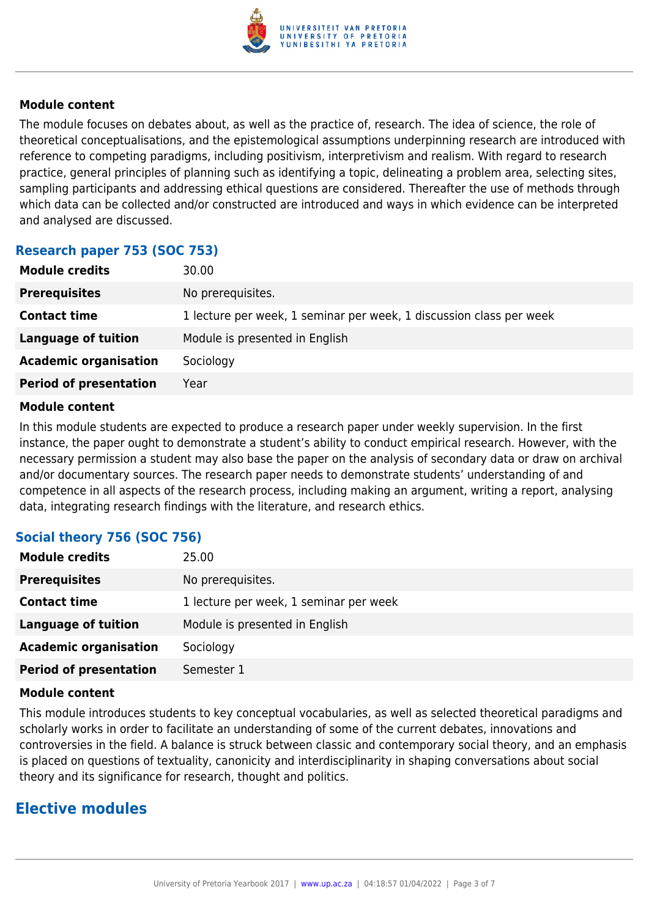

The module focuses on debates about, as well as the practice of, research. The idea of science, the role of theoretical conceptualisations, and the epistemological assumptions underpinning research are introduced with reference to competing paradigms, including positivism, interpretivism and realism. With regard to research practice, general principles of planning such as identifying a topic, delineating a problem area, selecting sites, sampling participants and addressing ethical questions are considered. Thereafter the use of methods through which data can be collected and/or constructed are introduced and ways in which evidence can be interpreted and analysed are discussed.

# **Research paper 753 (SOC 753)**

| <b>Module credits</b>         | 30.00                                                               |
|-------------------------------|---------------------------------------------------------------------|
| <b>Prerequisites</b>          | No prerequisites.                                                   |
| <b>Contact time</b>           | 1 lecture per week, 1 seminar per week, 1 discussion class per week |
| Language of tuition           | Module is presented in English                                      |
| <b>Academic organisation</b>  | Sociology                                                           |
| <b>Period of presentation</b> | Year                                                                |
|                               |                                                                     |

#### **Module content**

In this module students are expected to produce a research paper under weekly supervision. In the first instance, the paper ought to demonstrate a student's ability to conduct empirical research. However, with the necessary permission a student may also base the paper on the analysis of secondary data or draw on archival and/or documentary sources. The research paper needs to demonstrate students' understanding of and competence in all aspects of the research process, including making an argument, writing a report, analysing data, integrating research findings with the literature, and research ethics.

# **Social theory 756 (SOC 756)**

| <b>Module credits</b>         | 25.00                                  |
|-------------------------------|----------------------------------------|
| <b>Prerequisites</b>          | No prerequisites.                      |
| <b>Contact time</b>           | 1 lecture per week, 1 seminar per week |
| <b>Language of tuition</b>    | Module is presented in English         |
| <b>Academic organisation</b>  | Sociology                              |
| <b>Period of presentation</b> | Semester 1                             |

#### **Module content**

This module introduces students to key conceptual vocabularies, as well as selected theoretical paradigms and scholarly works in order to facilitate an understanding of some of the current debates, innovations and controversies in the field. A balance is struck between classic and contemporary social theory, and an emphasis is placed on questions of textuality, canonicity and interdisciplinarity in shaping conversations about social theory and its significance for research, thought and politics.

# **Elective modules**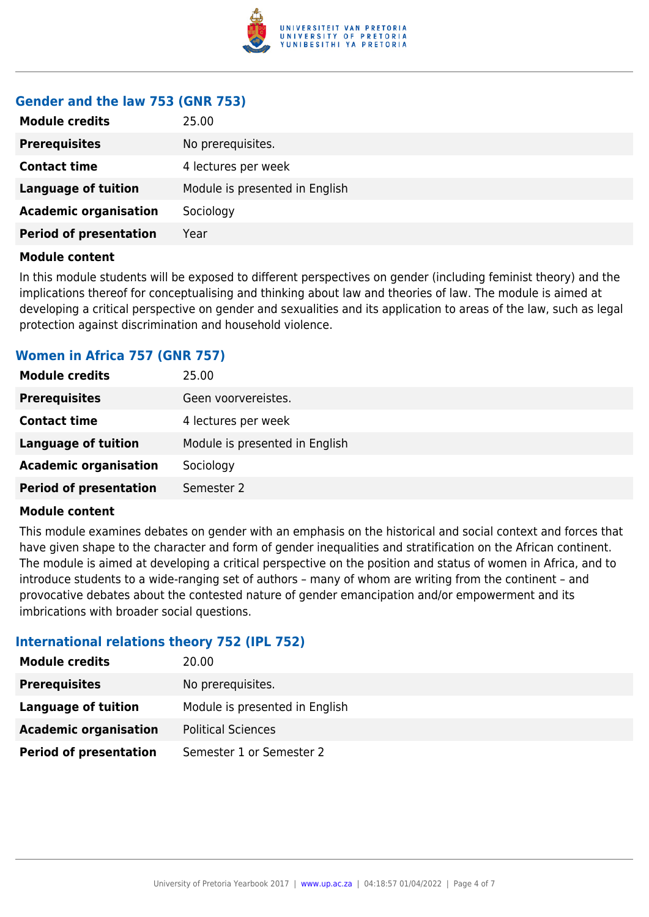

#### **Gender and the law 753 (GNR 753)**

| <b>Module credits</b>         | 25.00                          |
|-------------------------------|--------------------------------|
| <b>Prerequisites</b>          | No prerequisites.              |
| <b>Contact time</b>           | 4 lectures per week            |
| <b>Language of tuition</b>    | Module is presented in English |
| <b>Academic organisation</b>  | Sociology                      |
| <b>Period of presentation</b> | Year                           |

#### **Module content**

In this module students will be exposed to different perspectives on gender (including feminist theory) and the implications thereof for conceptualising and thinking about law and theories of law. The module is aimed at developing a critical perspective on gender and sexualities and its application to areas of the law, such as legal protection against discrimination and household violence.

# **Women in Africa 757 (GNR 757)**

| <b>Module credits</b>         | 25.00                          |
|-------------------------------|--------------------------------|
| <b>Prerequisites</b>          | Geen voorvereistes.            |
| <b>Contact time</b>           | 4 lectures per week            |
| Language of tuition           | Module is presented in English |
| <b>Academic organisation</b>  | Sociology                      |
| <b>Period of presentation</b> | Semester 2                     |

#### **Module content**

This module examines debates on gender with an emphasis on the historical and social context and forces that have given shape to the character and form of gender inequalities and stratification on the African continent. The module is aimed at developing a critical perspective on the position and status of women in Africa, and to introduce students to a wide-ranging set of authors – many of whom are writing from the continent – and provocative debates about the contested nature of gender emancipation and/or empowerment and its imbrications with broader social questions.

# **International relations theory 752 (IPL 752)**

| <b>Module credits</b>         | 20.00                          |
|-------------------------------|--------------------------------|
| <b>Prerequisites</b>          | No prerequisites.              |
| Language of tuition           | Module is presented in English |
| <b>Academic organisation</b>  | <b>Political Sciences</b>      |
| <b>Period of presentation</b> | Semester 1 or Semester 2       |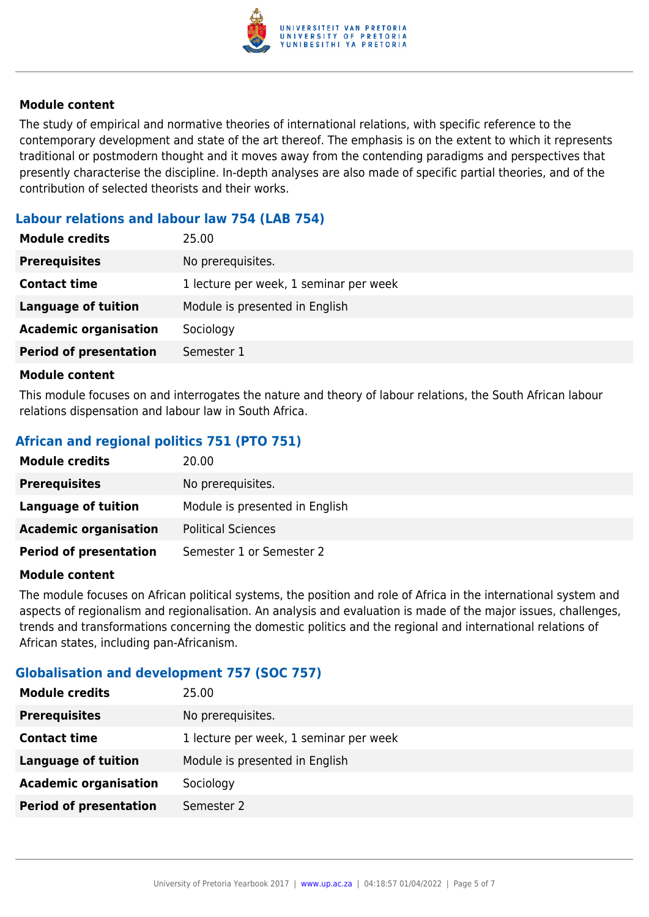

The study of empirical and normative theories of international relations, with specific reference to the contemporary development and state of the art thereof. The emphasis is on the extent to which it represents traditional or postmodern thought and it moves away from the contending paradigms and perspectives that presently characterise the discipline. In-depth analyses are also made of specific partial theories, and of the contribution of selected theorists and their works.

# **Labour relations and labour law 754 (LAB 754)**

| <b>Module credits</b>         | 25.00                                  |
|-------------------------------|----------------------------------------|
| <b>Prerequisites</b>          | No prerequisites.                      |
| <b>Contact time</b>           | 1 lecture per week, 1 seminar per week |
| Language of tuition           | Module is presented in English         |
| <b>Academic organisation</b>  | Sociology                              |
| <b>Period of presentation</b> | Semester 1                             |

#### **Module content**

This module focuses on and interrogates the nature and theory of labour relations, the South African labour relations dispensation and labour law in South Africa.

# **African and regional politics 751 (PTO 751)**

| <b>Module credits</b>         | 20.00                          |
|-------------------------------|--------------------------------|
| <b>Prerequisites</b>          | No prerequisites.              |
| Language of tuition           | Module is presented in English |
| <b>Academic organisation</b>  | <b>Political Sciences</b>      |
| <b>Period of presentation</b> | Semester 1 or Semester 2       |

#### **Module content**

The module focuses on African political systems, the position and role of Africa in the international system and aspects of regionalism and regionalisation. An analysis and evaluation is made of the major issues, challenges, trends and transformations concerning the domestic politics and the regional and international relations of African states, including pan-Africanism.

# **Globalisation and development 757 (SOC 757)**

| <b>Module credits</b>         | 25.00                                  |
|-------------------------------|----------------------------------------|
| <b>Prerequisites</b>          | No prerequisites.                      |
| <b>Contact time</b>           | 1 lecture per week, 1 seminar per week |
| Language of tuition           | Module is presented in English         |
| <b>Academic organisation</b>  | Sociology                              |
| <b>Period of presentation</b> | Semester 2                             |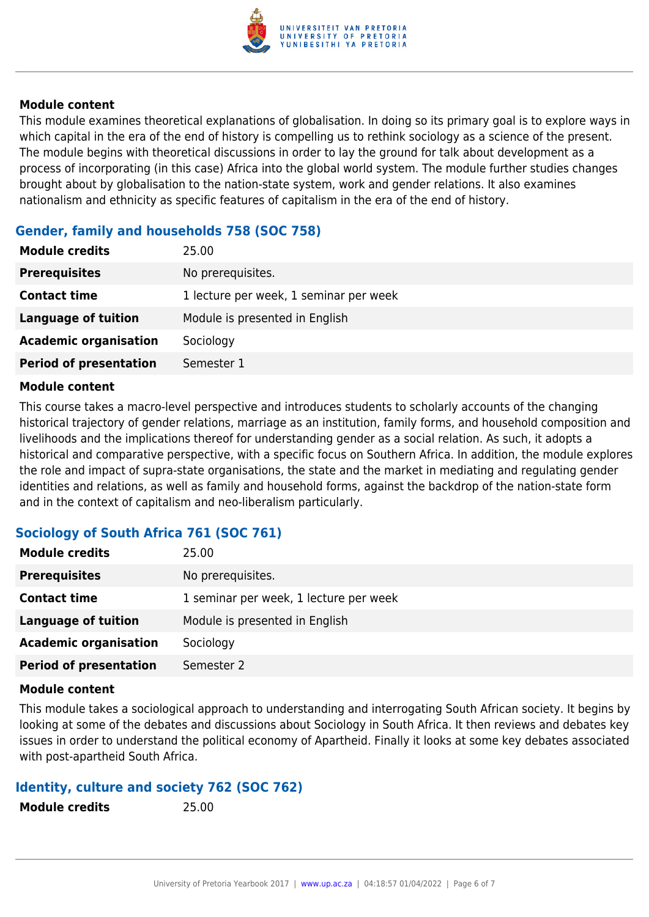

This module examines theoretical explanations of globalisation. In doing so its primary goal is to explore ways in which capital in the era of the end of history is compelling us to rethink sociology as a science of the present. The module begins with theoretical discussions in order to lay the ground for talk about development as a process of incorporating (in this case) Africa into the global world system. The module further studies changes brought about by globalisation to the nation-state system, work and gender relations. It also examines nationalism and ethnicity as specific features of capitalism in the era of the end of history.

#### **Gender, family and households 758 (SOC 758)**

| No prerequisites.<br><b>Prerequisites</b><br>1 lecture per week, 1 seminar per week<br><b>Contact time</b><br>Module is presented in English<br>Language of tuition<br><b>Academic organisation</b><br>Sociology | <b>Module credits</b>         | 25.00      |
|------------------------------------------------------------------------------------------------------------------------------------------------------------------------------------------------------------------|-------------------------------|------------|
|                                                                                                                                                                                                                  |                               |            |
|                                                                                                                                                                                                                  |                               |            |
|                                                                                                                                                                                                                  |                               |            |
|                                                                                                                                                                                                                  |                               |            |
|                                                                                                                                                                                                                  | <b>Period of presentation</b> | Semester 1 |

#### **Module content**

This course takes a macro-level perspective and introduces students to scholarly accounts of the changing historical trajectory of gender relations, marriage as an institution, family forms, and household composition and livelihoods and the implications thereof for understanding gender as a social relation. As such, it adopts a historical and comparative perspective, with a specific focus on Southern Africa. In addition, the module explores the role and impact of supra-state organisations, the state and the market in mediating and regulating gender identities and relations, as well as family and household forms, against the backdrop of the nation-state form and in the context of capitalism and neo-liberalism particularly.

# **Sociology of South Africa 761 (SOC 761)**

| <b>Module credits</b>         | 25.00                                  |
|-------------------------------|----------------------------------------|
| <b>Prerequisites</b>          | No prerequisites.                      |
| <b>Contact time</b>           | 1 seminar per week, 1 lecture per week |
| Language of tuition           | Module is presented in English         |
| <b>Academic organisation</b>  | Sociology                              |
| <b>Period of presentation</b> | Semester 2                             |

#### **Module content**

This module takes a sociological approach to understanding and interrogating South African society. It begins by looking at some of the debates and discussions about Sociology in South Africa. It then reviews and debates key issues in order to understand the political economy of Apartheid. Finally it looks at some key debates associated with post-apartheid South Africa.

# **Identity, culture and society 762 (SOC 762)**

| <b>Module credits</b> | 25.00 |
|-----------------------|-------|
|                       |       |